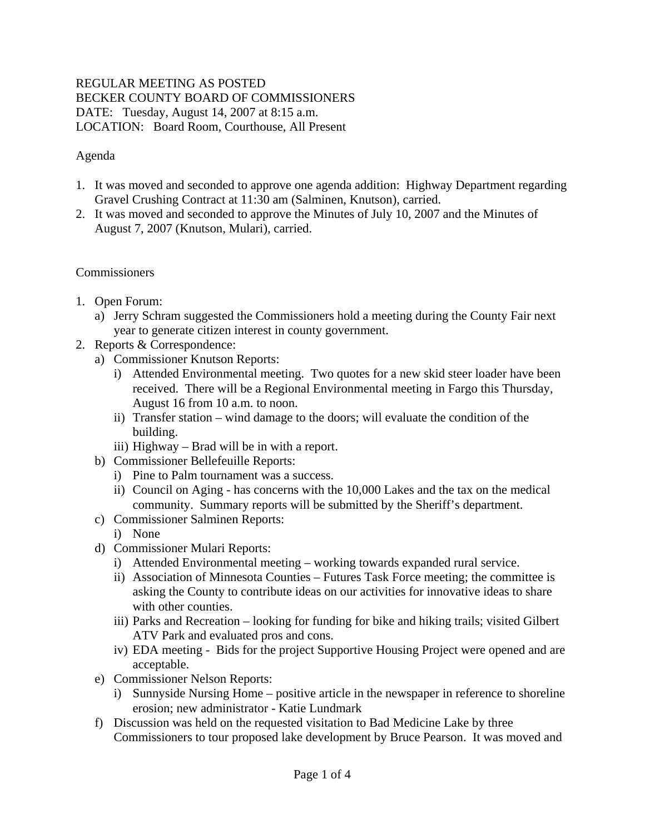## REGULAR MEETING AS POSTED BECKER COUNTY BOARD OF COMMISSIONERS DATE: Tuesday, August 14, 2007 at 8:15 a.m. LOCATION: Board Room, Courthouse, All Present

# Agenda

- 1. It was moved and seconded to approve one agenda addition: Highway Department regarding Gravel Crushing Contract at 11:30 am (Salminen, Knutson), carried.
- 2. It was moved and seconded to approve the Minutes of July 10, 2007 and the Minutes of August 7, 2007 (Knutson, Mulari), carried.

#### Commissioners

- 1. Open Forum:
	- a) Jerry Schram suggested the Commissioners hold a meeting during the County Fair next year to generate citizen interest in county government.
- 2. Reports & Correspondence:
	- a) Commissioner Knutson Reports:
		- i) Attended Environmental meeting. Two quotes for a new skid steer loader have been received. There will be a Regional Environmental meeting in Fargo this Thursday, August 16 from 10 a.m. to noon.
		- ii) Transfer station wind damage to the doors; will evaluate the condition of the building.
		- iii) Highway Brad will be in with a report.
	- b) Commissioner Bellefeuille Reports:
		- i) Pine to Palm tournament was a success.
		- ii) Council on Aging has concerns with the 10,000 Lakes and the tax on the medical community. Summary reports will be submitted by the Sheriff's department.
	- c) Commissioner Salminen Reports:
		- i) None
	- d) Commissioner Mulari Reports:
		- i) Attended Environmental meeting working towards expanded rural service.
		- ii) Association of Minnesota Counties Futures Task Force meeting; the committee is asking the County to contribute ideas on our activities for innovative ideas to share with other counties.
		- iii) Parks and Recreation looking for funding for bike and hiking trails; visited Gilbert ATV Park and evaluated pros and cons.
		- iv) EDA meeting Bids for the project Supportive Housing Project were opened and are acceptable.
	- e) Commissioner Nelson Reports:
		- i) Sunnyside Nursing Home positive article in the newspaper in reference to shoreline erosion; new administrator - Katie Lundmark
	- f) Discussion was held on the requested visitation to Bad Medicine Lake by three Commissioners to tour proposed lake development by Bruce Pearson. It was moved and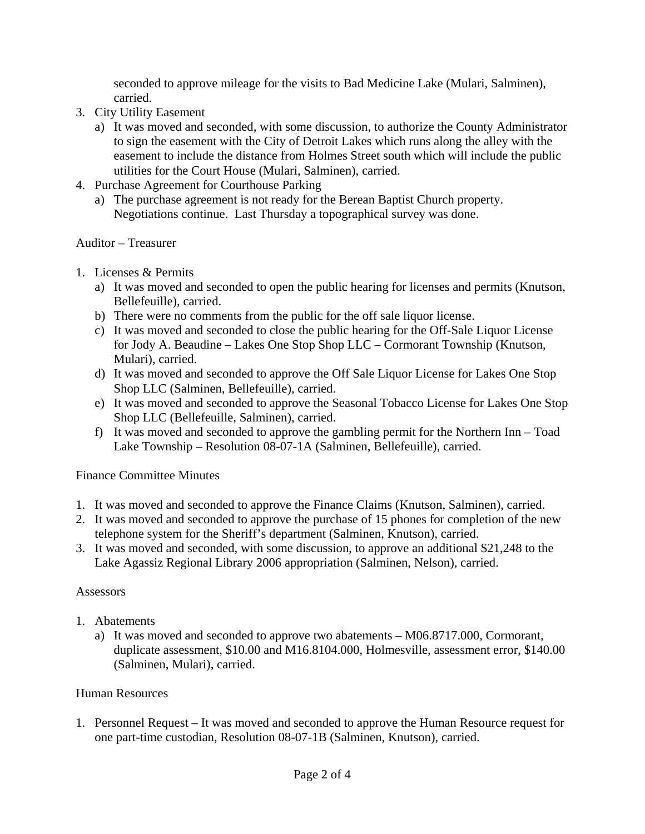seconded to approve mileage for the visits to Bad Medicine Lake (Mulari, Salminen), carried.

- 3. City Utility Easement
	- a) It was moved and seconded, with some discussion, to authorize the County Administrator to sign the easement with the City of Detroit Lakes which runs along the alley with the easement to include the distance from Holmes Street south which will include the public utilities for the Court House (Mulari, Salminen), carried.
- 4. Purchase Agreement for Courthouse Parking
	- a) The purchase agreement is not ready for the Berean Baptist Church property. Negotiations continue. Last Thursday a topographical survey was done.

#### Auditor – Treasurer

- 1. Licenses & Permits
	- a) It was moved and seconded to open the public hearing for licenses and permits (Knutson, Bellefeuille), carried.
	- b) There were no comments from the public for the off sale liquor license.
	- c) It was moved and seconded to close the public hearing for the Off-Sale Liquor License for Jody A. Beaudine – Lakes One Stop Shop LLC – Cormorant Township (Knutson, Mulari), carried.
	- d) It was moved and seconded to approve the Off Sale Liquor License for Lakes One Stop Shop LLC (Salminen, Bellefeuille), carried.
	- e) It was moved and seconded to approve the Seasonal Tobacco License for Lakes One Stop Shop LLC (Bellefeuille, Salminen), carried.
	- f) It was moved and seconded to approve the gambling permit for the Northern Inn Toad Lake Township – Resolution 08-07-1A (Salminen, Bellefeuille), carried.

#### Finance Committee Minutes

- 1. It was moved and seconded to approve the Finance Claims (Knutson, Salminen), carried.
- 2. It was moved and seconded to approve the purchase of 15 phones for completion of the new telephone system for the Sheriff's department (Salminen, Knutson), carried.
- 3. It was moved and seconded, with some discussion, to approve an additional \$21,248 to the Lake Agassiz Regional Library 2006 appropriation (Salminen, Nelson), carried.

#### Assessors

- 1. Abatements
	- a) It was moved and seconded to approve two abatements M06.8717.000, Cormorant, duplicate assessment, \$10.00 and M16.8104.000, Holmesville, assessment error, \$140.00 (Salminen, Mulari), carried.

#### Human Resources

1. Personnel Request – It was moved and seconded to approve the Human Resource request for one part-time custodian, Resolution 08-07-1B (Salminen, Knutson), carried.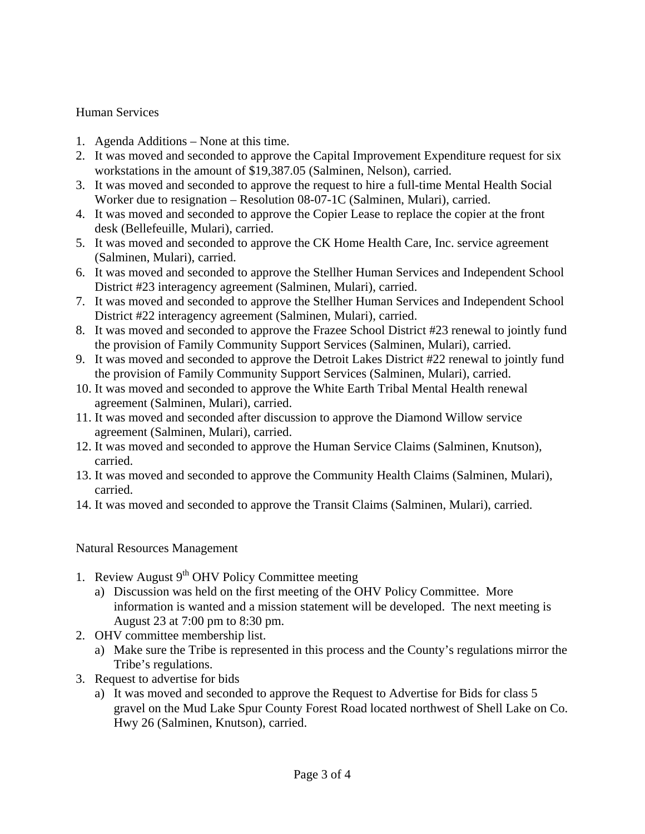## Human Services

- 1. Agenda Additions None at this time.
- 2. It was moved and seconded to approve the Capital Improvement Expenditure request for six workstations in the amount of \$19,387.05 (Salminen, Nelson), carried.
- 3. It was moved and seconded to approve the request to hire a full-time Mental Health Social Worker due to resignation – Resolution 08-07-1C (Salminen, Mulari), carried.
- 4. It was moved and seconded to approve the Copier Lease to replace the copier at the front desk (Bellefeuille, Mulari), carried.
- 5. It was moved and seconded to approve the CK Home Health Care, Inc. service agreement (Salminen, Mulari), carried.
- 6. It was moved and seconded to approve the Stellher Human Services and Independent School District #23 interagency agreement (Salminen, Mulari), carried.
- 7. It was moved and seconded to approve the Stellher Human Services and Independent School District #22 interagency agreement (Salminen, Mulari), carried.
- 8. It was moved and seconded to approve the Frazee School District #23 renewal to jointly fund the provision of Family Community Support Services (Salminen, Mulari), carried.
- 9. It was moved and seconded to approve the Detroit Lakes District #22 renewal to jointly fund the provision of Family Community Support Services (Salminen, Mulari), carried.
- 10. It was moved and seconded to approve the White Earth Tribal Mental Health renewal agreement (Salminen, Mulari), carried.
- 11. It was moved and seconded after discussion to approve the Diamond Willow service agreement (Salminen, Mulari), carried.
- 12. It was moved and seconded to approve the Human Service Claims (Salminen, Knutson), carried.
- 13. It was moved and seconded to approve the Community Health Claims (Salminen, Mulari), carried.
- 14. It was moved and seconded to approve the Transit Claims (Salminen, Mulari), carried.

#### Natural Resources Management

- 1. Review August  $9<sup>th</sup>$  OHV Policy Committee meeting
	- a) Discussion was held on the first meeting of the OHV Policy Committee. More information is wanted and a mission statement will be developed. The next meeting is August 23 at 7:00 pm to 8:30 pm.
- 2. OHV committee membership list.
	- a) Make sure the Tribe is represented in this process and the County's regulations mirror the Tribe's regulations.
- 3. Request to advertise for bids
	- a) It was moved and seconded to approve the Request to Advertise for Bids for class 5 gravel on the Mud Lake Spur County Forest Road located northwest of Shell Lake on Co. Hwy 26 (Salminen, Knutson), carried.